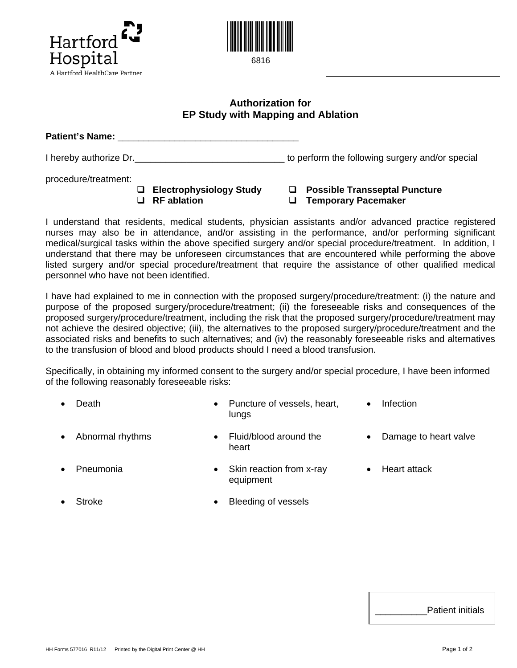



## **Authorization for EP Study with Mapping and Ablation**

**Patient's Name:** \_\_\_\_\_\_\_\_\_\_\_\_\_\_\_\_\_\_\_\_\_\_\_\_\_\_\_\_\_\_\_\_\_\_\_

I hereby authorize Dr. \_\_\_\_\_\_\_\_\_\_\_\_\_\_\_\_\_\_\_\_\_\_\_\_\_\_\_\_\_\_\_\_\_\_ to perform the following surgery and/or special

procedure/treatment:

| □ Electrophysiology Study |
|---------------------------|
| $\Box$ RF ablation        |

**Electrophysiole Transseptal Puncture**  $\Box$  **Temporary Pacemaker** 

I understand that residents, medical students, physician assistants and/or advanced practice registered nurses may also be in attendance, and/or assisting in the performance, and/or performing significant medical/surgical tasks within the above specified surgery and/or special procedure/treatment. In addition, I understand that there may be unforeseen circumstances that are encountered while performing the above listed surgery and/or special procedure/treatment that require the assistance of other qualified medical personnel who have not been identified.

I have had explained to me in connection with the proposed surgery/procedure/treatment: (i) the nature and purpose of the proposed surgery/procedure/treatment; (ii) the foreseeable risks and consequences of the proposed surgery/procedure/treatment, including the risk that the proposed surgery/procedure/treatment may not achieve the desired objective; (iii), the alternatives to the proposed surgery/procedure/treatment and the associated risks and benefits to such alternatives; and (iv) the reasonably foreseeable risks and alternatives to the transfusion of blood and blood products should I need a blood transfusion.

Specifically, in obtaining my informed consent to the surgery and/or special procedure, I have been informed of the following reasonably foreseeable risks:

| $\bullet$ | Death              | Puncture of vessels, heart,<br>lunas | Infection               |
|-----------|--------------------|--------------------------------------|-------------------------|
|           | • Abnormal rhythms | Fluid/blood around the<br>heart      | • Damage to heart valve |

- **Pneumonia** Skin reaction from x-ray equipment • Heart attack
- 
- Stroke Bleeding of vessels

Patient initials